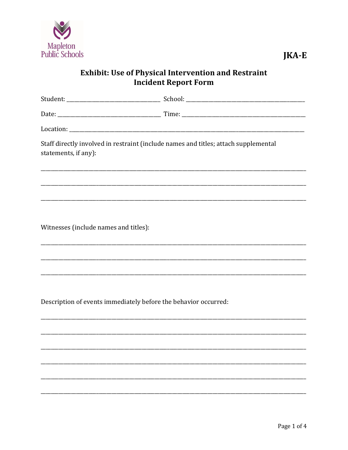

## **Exhibit: Use of Physical Intervention and Restraint Incident Report Form**

| Staff directly involved in restraint (include names and titles; attach supplemental<br>statements, if any): |  |  |  |  |
|-------------------------------------------------------------------------------------------------------------|--|--|--|--|
|                                                                                                             |  |  |  |  |
|                                                                                                             |  |  |  |  |
| Witnesses (include names and titles):                                                                       |  |  |  |  |
|                                                                                                             |  |  |  |  |
|                                                                                                             |  |  |  |  |
| Description of events immediately before the behavior occurred:                                             |  |  |  |  |
|                                                                                                             |  |  |  |  |
|                                                                                                             |  |  |  |  |
|                                                                                                             |  |  |  |  |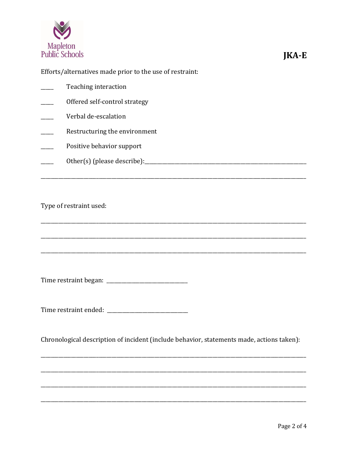

## Efforts/alternatives made prior to the use of restraint:

| Teaching interaction          |
|-------------------------------|
| Offered self-control strategy |
| Verbal de-escalation          |
| Restructuring the environment |
| Positive behavior support     |
| Other(s) (please describe):   |
|                               |

## Type of restraint used:

Chronological description of incident (include behavior, statements made, actions taken):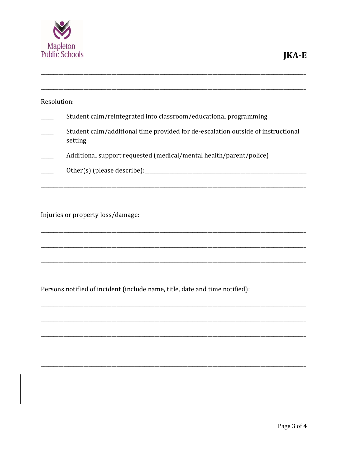

| Resolution: |                                                                                             |
|-------------|---------------------------------------------------------------------------------------------|
|             | Student calm/reintegrated into classroom/educational programming                            |
|             | Student calm/additional time provided for de-escalation outside of instructional<br>setting |
|             | Additional support requested (medical/mental health/parent/police)                          |
|             | Other(s) (please describe):                                                                 |
|             |                                                                                             |

Injuries or property loss/damage:

Persons notified of incident (include name, title, date and time notified):